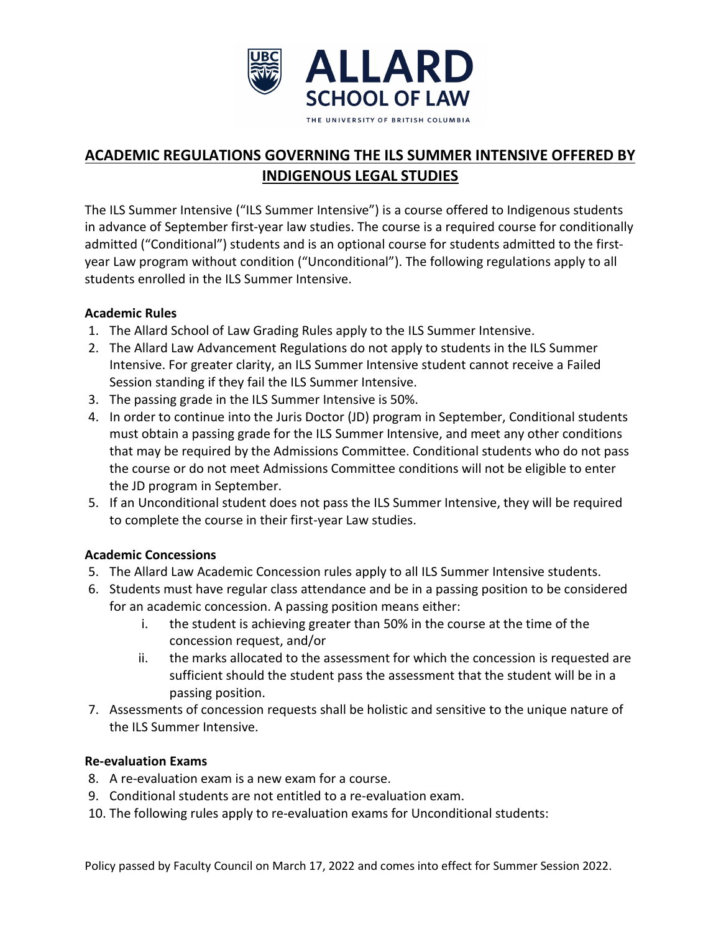

# **ACADEMIC REGULATIONS GOVERNING THE ILS SUMMER INTENSIVE OFFERED BY INDIGENOUS LEGAL STUDIES**

The ILS Summer Intensive ("ILS Summer Intensive") is a course offered to Indigenous students in advance of September first-year law studies. The course is a required course for conditionally admitted ("Conditional") students and is an optional course for students admitted to the firstyear Law program without condition ("Unconditional"). The following regulations apply to all students enrolled in the ILS Summer Intensive.

## **Academic Rules**

- 1. The Allard School of Law Grading Rules apply to the ILS Summer Intensive.
- 2. The Allard Law Advancement Regulations do not apply to students in the ILS Summer Intensive. For greater clarity, an ILS Summer Intensive student cannot receive a Failed Session standing if they fail the ILS Summer Intensive.
- 3. The passing grade in the ILS Summer Intensive is 50%.
- 4. In order to continue into the Juris Doctor (JD) program in September, Conditional students must obtain a passing grade for the ILS Summer Intensive, and meet any other conditions that may be required by the Admissions Committee. Conditional students who do not pass the course or do not meet Admissions Committee conditions will not be eligible to enter the JD program in September.
- 5. If an Unconditional student does not pass the ILS Summer Intensive, they will be required to complete the course in their first-year Law studies.

## **Academic Concessions**

- 5. The Allard Law Academic Concession rules apply to all ILS Summer Intensive students.
- 6. Students must have regular class attendance and be in a passing position to be considered for an academic concession. A passing position means either:
	- i. the student is achieving greater than 50% in the course at the time of the concession request, and/or
	- ii. the marks allocated to the assessment for which the concession is requested are sufficient should the student pass the assessment that the student will be in a passing position.
- 7. Assessments of concession requests shall be holistic and sensitive to the unique nature of the ILS Summer Intensive.

## **Re-evaluation Exams**

- 8. A re-evaluation exam is a new exam for a course.
- 9. Conditional students are not entitled to a re-evaluation exam.
- 10. The following rules apply to re-evaluation exams for Unconditional students: